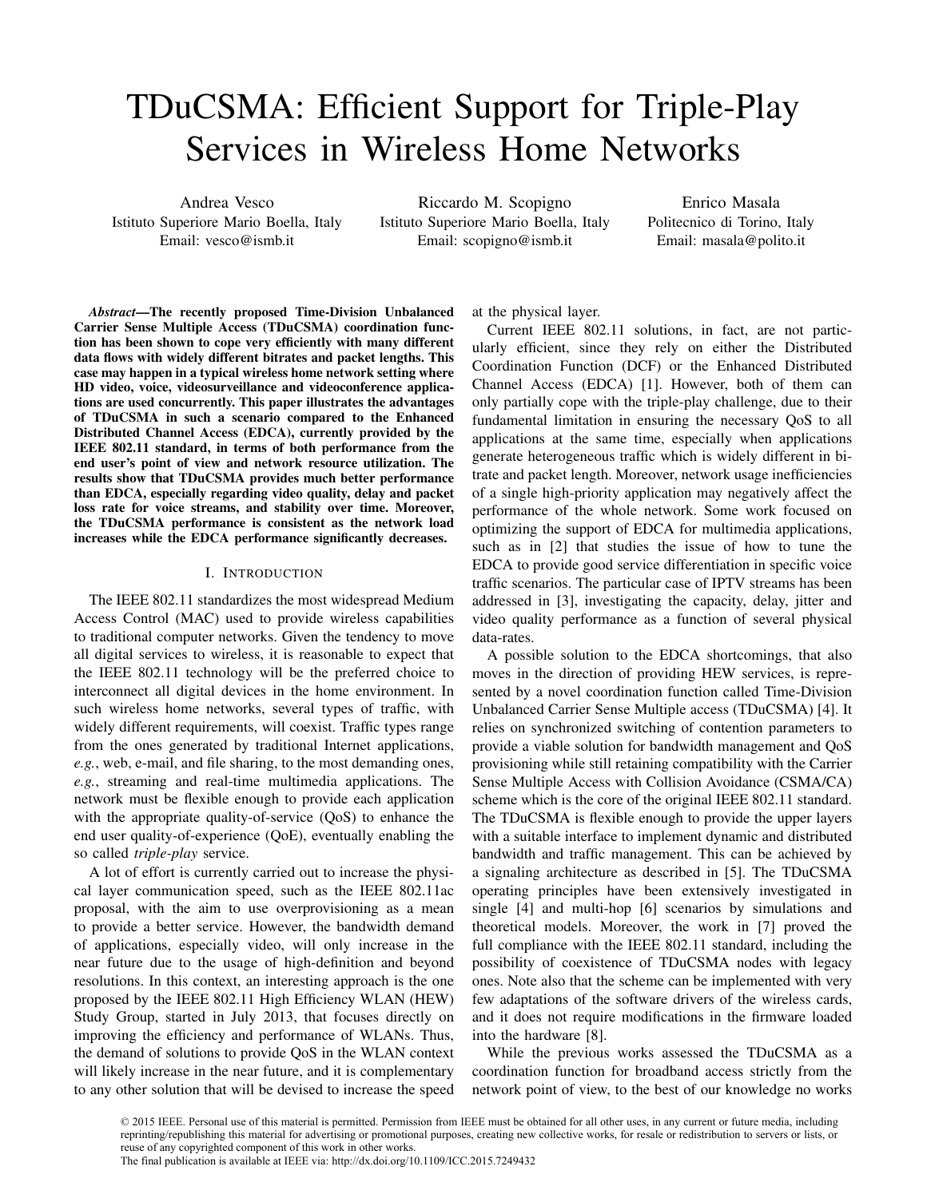# TDuCSMA: Efficient Support for Triple-Play Services in Wireless Home Networks

Andrea Vesco Istituto Superiore Mario Boella, Italy Email: vesco@ismb.it

Riccardo M. Scopigno Istituto Superiore Mario Boella, Italy Email: scopigno@ismb.it

Enrico Masala Politecnico di Torino, Italy Email: masala@polito.it

*Abstract*—The recently proposed Time-Division Unbalanced Carrier Sense Multiple Access (TDuCSMA) coordination function has been shown to cope very efficiently with many different data flows with widely different bitrates and packet lengths. This case may happen in a typical wireless home network setting where HD video, voice, videosurveillance and videoconference applications are used concurrently. This paper illustrates the advantages of TDuCSMA in such a scenario compared to the Enhanced Distributed Channel Access (EDCA), currently provided by the IEEE 802.11 standard, in terms of both performance from the end user's point of view and network resource utilization. The results show that TDuCSMA provides much better performance than EDCA, especially regarding video quality, delay and packet loss rate for voice streams, and stability over time. Moreover, the TDuCSMA performance is consistent as the network load increases while the EDCA performance significantly decreases.

## I. INTRODUCTION

The IEEE 802.11 standardizes the most widespread Medium Access Control (MAC) used to provide wireless capabilities to traditional computer networks. Given the tendency to move all digital services to wireless, it is reasonable to expect that the IEEE 802.11 technology will be the preferred choice to interconnect all digital devices in the home environment. In such wireless home networks, several types of traffic, with widely different requirements, will coexist. Traffic types range from the ones generated by traditional Internet applications, *e.g.*, web, e-mail, and file sharing, to the most demanding ones, *e.g.*, streaming and real-time multimedia applications. The network must be flexible enough to provide each application with the appropriate quality-of-service (QoS) to enhance the end user quality-of-experience (QoE), eventually enabling the so called *triple-play* service.

A lot of effort is currently carried out to increase the physical layer communication speed, such as the IEEE 802.11ac proposal, with the aim to use overprovisioning as a mean to provide a better service. However, the bandwidth demand of applications, especially video, will only increase in the near future due to the usage of high-definition and beyond resolutions. In this context, an interesting approach is the one proposed by the IEEE 802.11 High Efficiency WLAN (HEW) Study Group, started in July 2013, that focuses directly on improving the efficiency and performance of WLANs. Thus, the demand of solutions to provide QoS in the WLAN context will likely increase in the near future, and it is complementary to any other solution that will be devised to increase the speed at the physical layer.

Current IEEE 802.11 solutions, in fact, are not particularly efficient, since they rely on either the Distributed Coordination Function (DCF) or the Enhanced Distributed Channel Access (EDCA) [1]. However, both of them can only partially cope with the triple-play challenge, due to their fundamental limitation in ensuring the necessary QoS to all applications at the same time, especially when applications generate heterogeneous traffic which is widely different in bitrate and packet length. Moreover, network usage inefficiencies of a single high-priority application may negatively affect the performance of the whole network. Some work focused on optimizing the support of EDCA for multimedia applications, such as in [2] that studies the issue of how to tune the EDCA to provide good service differentiation in specific voice traffic scenarios. The particular case of IPTV streams has been addressed in [3], investigating the capacity, delay, jitter and video quality performance as a function of several physical data-rates.

A possible solution to the EDCA shortcomings, that also moves in the direction of providing HEW services, is represented by a novel coordination function called Time-Division Unbalanced Carrier Sense Multiple access (TDuCSMA) [4]. It relies on synchronized switching of contention parameters to provide a viable solution for bandwidth management and QoS provisioning while still retaining compatibility with the Carrier Sense Multiple Access with Collision Avoidance (CSMA/CA) scheme which is the core of the original IEEE 802.11 standard. The TDuCSMA is flexible enough to provide the upper layers with a suitable interface to implement dynamic and distributed bandwidth and traffic management. This can be achieved by a signaling architecture as described in [5]. The TDuCSMA operating principles have been extensively investigated in single [4] and multi-hop [6] scenarios by simulations and theoretical models. Moreover, the work in [7] proved the full compliance with the IEEE 802.11 standard, including the possibility of coexistence of TDuCSMA nodes with legacy ones. Note also that the scheme can be implemented with very few adaptations of the software drivers of the wireless cards, and it does not require modifications in the firmware loaded into the hardware [8].

While the previous works assessed the TDuCSMA as a coordination function for broadband access strictly from the network point of view, to the best of our knowledge no works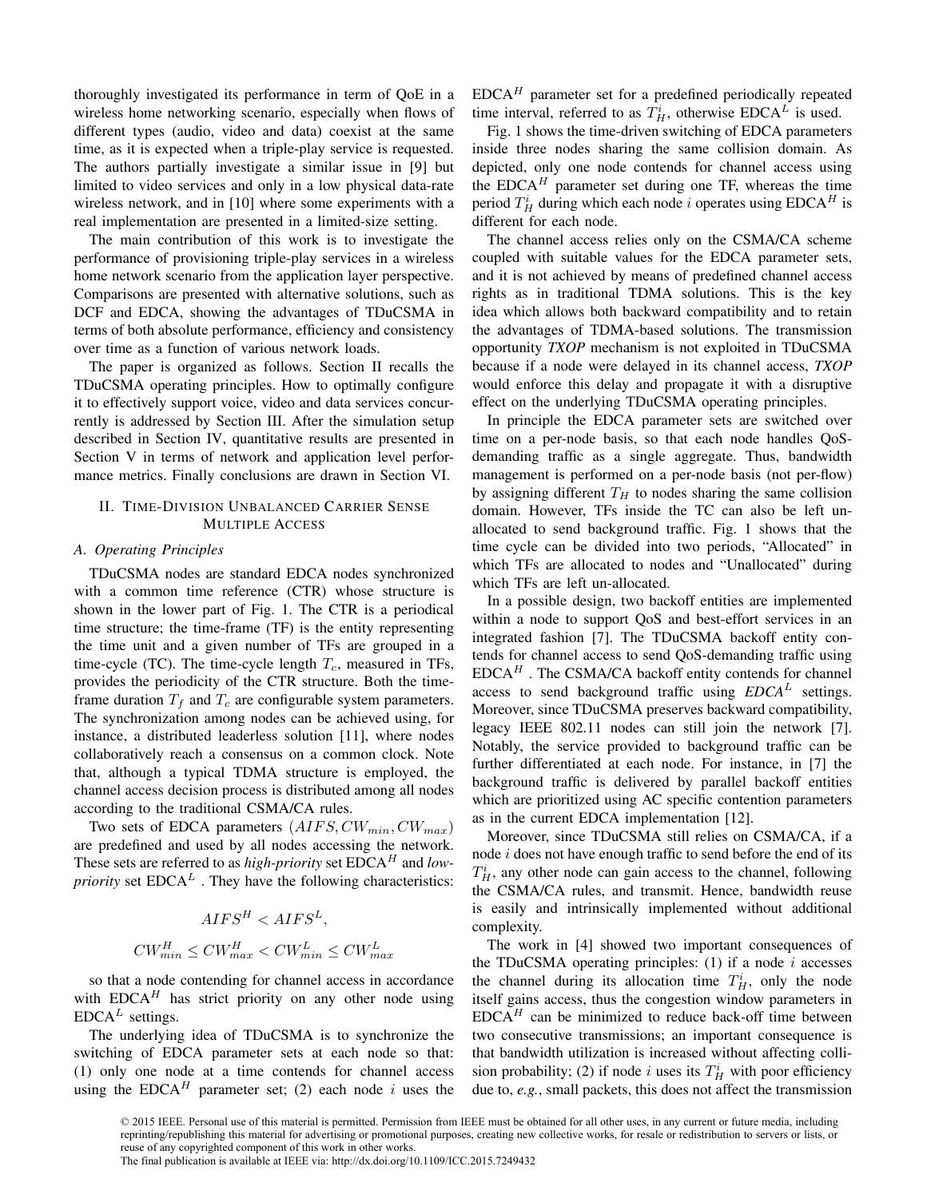thoroughly investigated its performance in term of QoE in a wireless home networking scenario, especially when flows of different types (audio, video and data) coexist at the same time, as it is expected when a triple-play service is requested. The authors partially investigate a similar issue in [9] but limited to video services and only in a low physical data-rate wireless network, and in [10] where some experiments with a real implementation are presented in a limited-size setting.

The main contribution of this work is to investigate the performance of provisioning triple-play services in a wireless home network scenario from the application layer perspective. Comparisons are presented with alternative solutions, such as DCF and EDCA, showing the advantages of TDuCSMA in terms of both absolute performance, efficiency and consistency over time as a function of various network loads.

The paper is organized as follows. Section II recalls the TDuCSMA operating principles. How to optimally configure it to effectively support voice, video and data services concurrently is addressed by Section III. After the simulation setup described in Section IV, quantitative results are presented in Section V in terms of network and application level performance metrics. Finally conclusions are drawn in Section VI.

# II. TIME-DIVISION UNBALANCED CARRIER SENSE MULTIPLE ACCESS

## *A. Operating Principles*

TDuCSMA nodes are standard EDCA nodes synchronized with a common time reference (CTR) whose structure is shown in the lower part of Fig. 1. The CTR is a periodical time structure; the time-frame (TF) is the entity representing the time unit and a given number of TFs are grouped in a time-cycle (TC). The time-cycle length  $T_c$ , measured in TFs, provides the periodicity of the CTR structure. Both the timeframe duration  $T_f$  and  $T_c$  are configurable system parameters. The synchronization among nodes can be achieved using, for instance, a distributed leaderless solution [11], where nodes collaboratively reach a consensus on a common clock. Note that, although a typical TDMA structure is employed, the channel access decision process is distributed among all nodes according to the traditional CSMA/CA rules.

Two sets of EDCA parameters  $(AIFS, CW_{min}, CW_{max})$ are predefined and used by all nodes accessing the network. These sets are referred to as *high-priority* set EDCA<sup>H</sup> and *lowpriority* set  $EDCA<sup>L</sup>$ . They have the following characteristics:

$$
AIFS^{H} < AIFS^{L},
$$
  

$$
CW^{H}_{min} \leq CW^{H}_{max} < CW^{L}_{min} \leq CW^{L}_{max}
$$

so that a node contending for channel access in accordance with  $EDCA<sup>H</sup>$  has strict priority on any other node using  $EDCA<sup>L</sup>$  settings.

The underlying idea of TDuCSMA is to synchronize the switching of EDCA parameter sets at each node so that: (1) only one node at a time contends for channel access using the EDCA<sup>H</sup> parameter set; (2) each node i uses the  $EDCA<sup>H</sup>$  parameter set for a predefined periodically repeated time interval, referred to as  $T_H^i$ , otherwise EDCA<sup>L</sup> is used.

Fig. 1 shows the time-driven switching of EDCA parameters inside three nodes sharing the same collision domain. As depicted, only one node contends for channel access using the EDCA $^H$  parameter set during one TF, whereas the time period  $T_H^i$  during which each node i operates using EDCA<sup>H</sup> is different for each node.

The channel access relies only on the CSMA/CA scheme coupled with suitable values for the EDCA parameter sets, and it is not achieved by means of predefined channel access rights as in traditional TDMA solutions. This is the key idea which allows both backward compatibility and to retain the advantages of TDMA-based solutions. The transmission opportunity *TXOP* mechanism is not exploited in TDuCSMA because if a node were delayed in its channel access, *TXOP* would enforce this delay and propagate it with a disruptive effect on the underlying TDuCSMA operating principles.

In principle the EDCA parameter sets are switched over time on a per-node basis, so that each node handles QoSdemanding traffic as a single aggregate. Thus, bandwidth management is performed on a per-node basis (not per-flow) by assigning different  $T_H$  to nodes sharing the same collision domain. However, TFs inside the TC can also be left unallocated to send background traffic. Fig. 1 shows that the time cycle can be divided into two periods, "Allocated" in which TFs are allocated to nodes and "Unallocated" during which TFs are left un-allocated.

In a possible design, two backoff entities are implemented within a node to support QoS and best-effort services in an integrated fashion [7]. The TDuCSMA backoff entity contends for channel access to send QoS-demanding traffic using  $EDCA<sup>H</sup>$ . The CSMA/CA backoff entity contends for channel access to send background traffic using  $EDCA<sup>L</sup>$  settings. Moreover, since TDuCSMA preserves backward compatibility, legacy IEEE 802.11 nodes can still join the network [7]. Notably, the service provided to background traffic can be further differentiated at each node. For instance, in [7] the background traffic is delivered by parallel backoff entities which are prioritized using AC specific contention parameters as in the current EDCA implementation [12].

Moreover, since TDuCSMA still relies on CSMA/CA, if a node i does not have enough traffic to send before the end of its  $T_H^i$ , any other node can gain access to the channel, following the CSMA/CA rules, and transmit. Hence, bandwidth reuse is easily and intrinsically implemented without additional complexity.

The work in [4] showed two important consequences of the TDuCSMA operating principles:  $(1)$  if a node *i* accesses the channel during its allocation time  $T_H^i$ , only the node itself gains access, thus the congestion window parameters in  $EDCA<sup>H</sup>$  can be minimized to reduce back-off time between two consecutive transmissions; an important consequence is that bandwidth utilization is increased without affecting collision probability; (2) if node *i* uses its  $T_H^i$  with poor efficiency due to, *e.g.*, small packets, this does not affect the transmission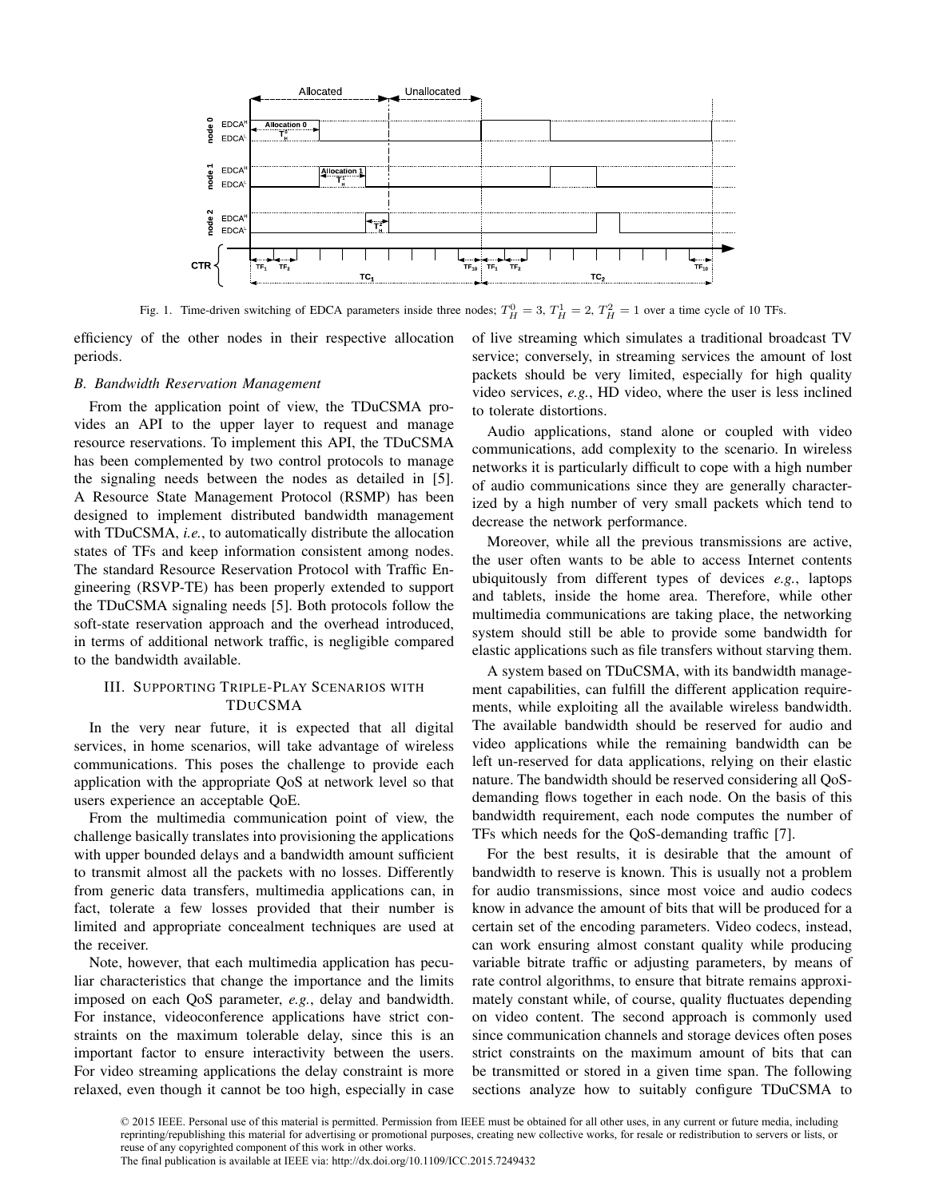

Fig. 1. Time-driven switching of EDCA parameters inside three nodes;  $T_H^0 = 3$ ,  $T_H^1 = 2$ ,  $T_H^2 = 1$  over a time cycle of 10 TFs.

efficiency of the other nodes in their respective allocation periods.

# *B. Bandwidth Reservation Management*

From the application point of view, the TDuCSMA provides an API to the upper layer to request and manage resource reservations. To implement this API, the TDuCSMA has been complemented by two control protocols to manage the signaling needs between the nodes as detailed in [5]. A Resource State Management Protocol (RSMP) has been designed to implement distributed bandwidth management with TDuCSMA, *i.e.*, to automatically distribute the allocation states of TFs and keep information consistent among nodes. The standard Resource Reservation Protocol with Traffic Engineering (RSVP-TE) has been properly extended to support the TDuCSMA signaling needs [5]. Both protocols follow the soft-state reservation approach and the overhead introduced, in terms of additional network traffic, is negligible compared to the bandwidth available.

# III. SUPPORTING TRIPLE-PLAY SCENARIOS WITH TDUCSMA

In the very near future, it is expected that all digital services, in home scenarios, will take advantage of wireless communications. This poses the challenge to provide each application with the appropriate QoS at network level so that users experience an acceptable QoE.

From the multimedia communication point of view, the challenge basically translates into provisioning the applications with upper bounded delays and a bandwidth amount sufficient to transmit almost all the packets with no losses. Differently from generic data transfers, multimedia applications can, in fact, tolerate a few losses provided that their number is limited and appropriate concealment techniques are used at the receiver.

Note, however, that each multimedia application has peculiar characteristics that change the importance and the limits imposed on each QoS parameter, *e.g.*, delay and bandwidth. For instance, videoconference applications have strict constraints on the maximum tolerable delay, since this is an important factor to ensure interactivity between the users. For video streaming applications the delay constraint is more relaxed, even though it cannot be too high, especially in case of live streaming which simulates a traditional broadcast TV service; conversely, in streaming services the amount of lost packets should be very limited, especially for high quality video services, *e.g.*, HD video, where the user is less inclined to tolerate distortions.

Audio applications, stand alone or coupled with video communications, add complexity to the scenario. In wireless networks it is particularly difficult to cope with a high number of audio communications since they are generally characterized by a high number of very small packets which tend to decrease the network performance.

Moreover, while all the previous transmissions are active, the user often wants to be able to access Internet contents ubiquitously from different types of devices *e.g.*, laptops and tablets, inside the home area. Therefore, while other multimedia communications are taking place, the networking system should still be able to provide some bandwidth for elastic applications such as file transfers without starving them.

A system based on TDuCSMA, with its bandwidth management capabilities, can fulfill the different application requirements, while exploiting all the available wireless bandwidth. The available bandwidth should be reserved for audio and video applications while the remaining bandwidth can be left un-reserved for data applications, relying on their elastic nature. The bandwidth should be reserved considering all QoSdemanding flows together in each node. On the basis of this bandwidth requirement, each node computes the number of TFs which needs for the QoS-demanding traffic [7].

For the best results, it is desirable that the amount of bandwidth to reserve is known. This is usually not a problem for audio transmissions, since most voice and audio codecs know in advance the amount of bits that will be produced for a certain set of the encoding parameters. Video codecs, instead, can work ensuring almost constant quality while producing variable bitrate traffic or adjusting parameters, by means of rate control algorithms, to ensure that bitrate remains approximately constant while, of course, quality fluctuates depending on video content. The second approach is commonly used since communication channels and storage devices often poses strict constraints on the maximum amount of bits that can be transmitted or stored in a given time span. The following sections analyze how to suitably configure TDuCSMA to

© 2015 IEEE. Personal use of this material is permitted. Permission from IEEE must be obtained for all other uses, in any current or future media, including reprinting/republishing this material for advertising or promotional purposes, creating new collective works, for resale or redistribution to servers or lists, or reuse of any copyrighted component of this work in other works. The final publication is available at IEEE via: http://dx.doi.org/10.1109/ICC.2015.7249432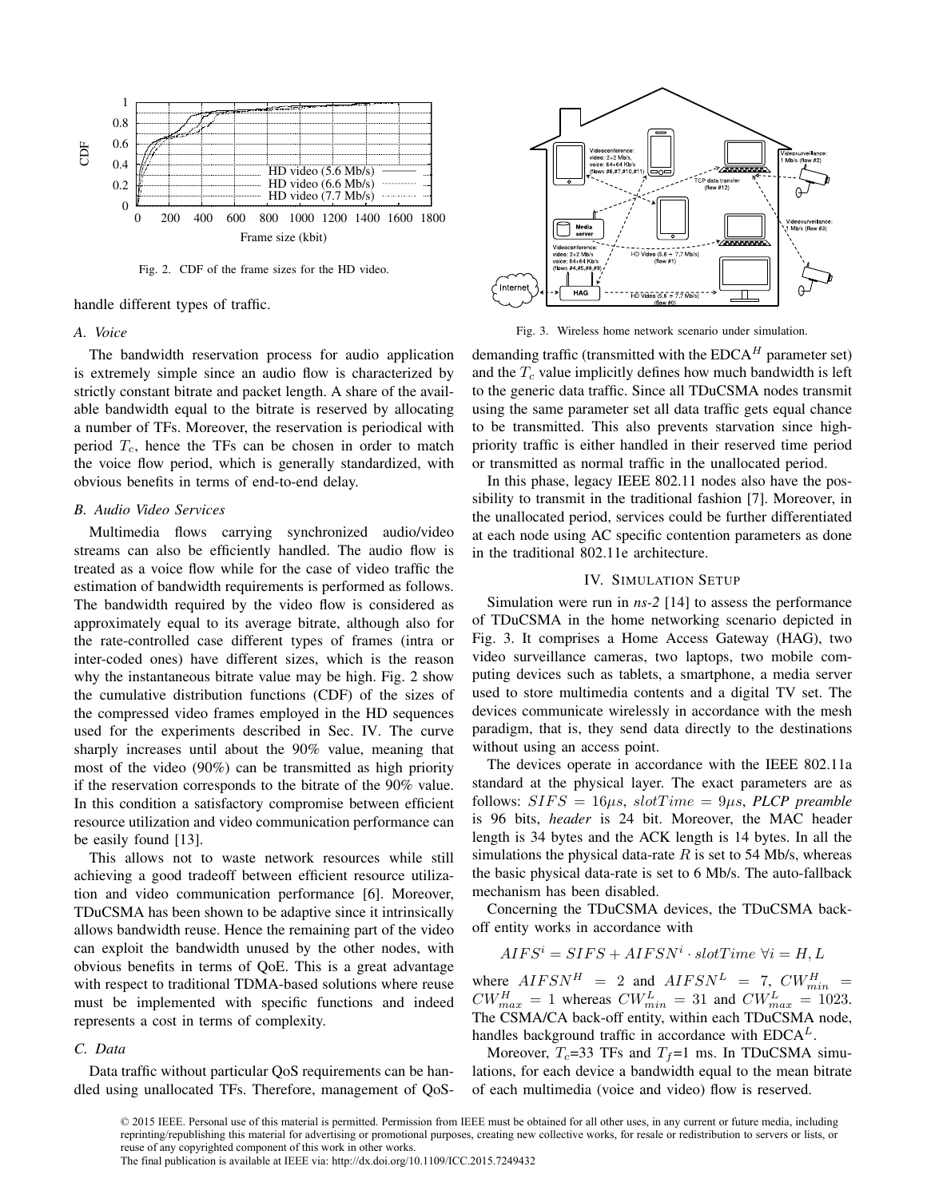

Fig. 2. CDF of the frame sizes for the HD video.

handle different types of traffic.

# *A. Voice*

The bandwidth reservation process for audio application is extremely simple since an audio flow is characterized by strictly constant bitrate and packet length. A share of the available bandwidth equal to the bitrate is reserved by allocating a number of TFs. Moreover, the reservation is periodical with period  $T_c$ , hence the TFs can be chosen in order to match the voice flow period, which is generally standardized, with obvious benefits in terms of end-to-end delay.

#### *B. Audio Video Services*

Multimedia flows carrying synchronized audio/video streams can also be efficiently handled. The audio flow is treated as a voice flow while for the case of video traffic the estimation of bandwidth requirements is performed as follows. The bandwidth required by the video flow is considered as approximately equal to its average bitrate, although also for the rate-controlled case different types of frames (intra or inter-coded ones) have different sizes, which is the reason why the instantaneous bitrate value may be high. Fig. 2 show the cumulative distribution functions (CDF) of the sizes of the compressed video frames employed in the HD sequences used for the experiments described in Sec. IV. The curve sharply increases until about the 90% value, meaning that most of the video (90%) can be transmitted as high priority if the reservation corresponds to the bitrate of the 90% value. In this condition a satisfactory compromise between efficient resource utilization and video communication performance can be easily found [13].

This allows not to waste network resources while still achieving a good tradeoff between efficient resource utilization and video communication performance [6]. Moreover, TDuCSMA has been shown to be adaptive since it intrinsically allows bandwidth reuse. Hence the remaining part of the video can exploit the bandwidth unused by the other nodes, with obvious benefits in terms of QoE. This is a great advantage with respect to traditional TDMA-based solutions where reuse must be implemented with specific functions and indeed represents a cost in terms of complexity.

# *C. Data*

Data traffic without particular QoS requirements can be handled using unallocated TFs. Therefore, management of QoS-



Fig. 3. Wireless home network scenario under simulation.

demanding traffic (transmitted with the EDCA $^H$  parameter set) and the  $T_c$  value implicitly defines how much bandwidth is left to the generic data traffic. Since all TDuCSMA nodes transmit using the same parameter set all data traffic gets equal chance to be transmitted. This also prevents starvation since highpriority traffic is either handled in their reserved time period or transmitted as normal traffic in the unallocated period.

In this phase, legacy IEEE 802.11 nodes also have the possibility to transmit in the traditional fashion [7]. Moreover, in the unallocated period, services could be further differentiated at each node using AC specific contention parameters as done in the traditional 802.11e architecture.

## IV. SIMULATION SETUP

Simulation were run in *ns-2* [14] to assess the performance of TDuCSMA in the home networking scenario depicted in Fig. 3. It comprises a Home Access Gateway (HAG), two video surveillance cameras, two laptops, two mobile computing devices such as tablets, a smartphone, a media server used to store multimedia contents and a digital TV set. The devices communicate wirelessly in accordance with the mesh paradigm, that is, they send data directly to the destinations without using an access point.

The devices operate in accordance with the IEEE 802.11a standard at the physical layer. The exact parameters are as follows:  $SIFS = 16\mu s, slotTime = 9\mu s, PLCP$  preamble is 96 bits, *header* is 24 bit. Moreover, the MAC header length is 34 bytes and the ACK length is 14 bytes. In all the simulations the physical data-rate  $R$  is set to 54 Mb/s, whereas the basic physical data-rate is set to 6 Mb/s. The auto-fallback mechanism has been disabled.

Concerning the TDuCSMA devices, the TDuCSMA backoff entity works in accordance with

$$
AIFS^i = SIFS + AIFSN^i \cdot slotTime \ \forall i = H, L
$$

where  $AIFSN^H = 2$  and  $AIFSN^L = 7$ ,  $CW_{min}^H =$  $CW_{max}^H = 1$  whereas  $CW_{min}^L = 31$  and  $CW_{max}^L = 1023$ . The CSMA/CA back-off entity, within each TDuCSMA node, handles background traffic in accordance with  $EDCA<sup>L</sup>$ .

Moreover,  $T_c$ =33 TFs and  $T_f$ =1 ms. In TDuCSMA simulations, for each device a bandwidth equal to the mean bitrate of each multimedia (voice and video) flow is reserved.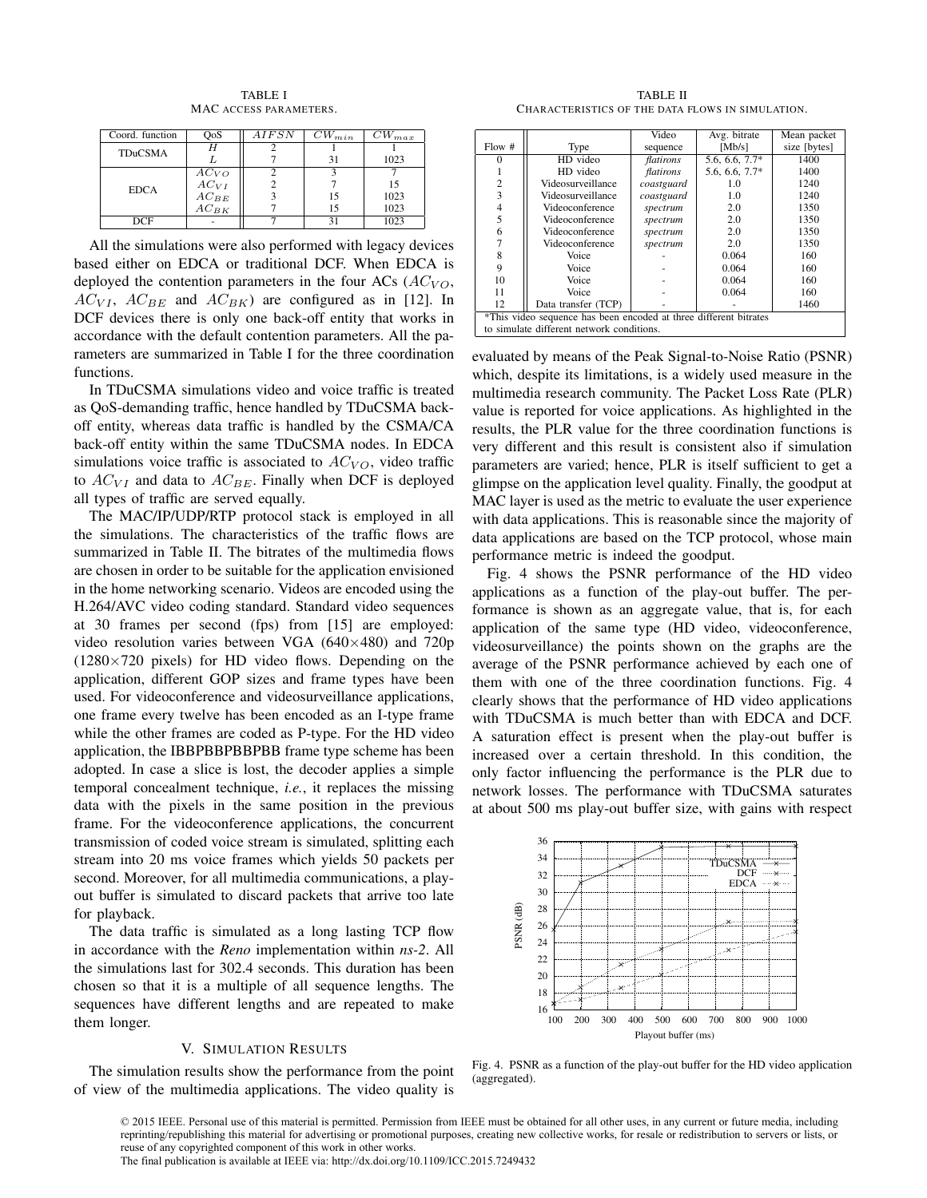TABLE I MAC ACCESS PARAMETERS.

| Coord. function | OoS                                                 | AIFSN | $CW_{min}$ | $CW_{max}$ |
|-----------------|-----------------------------------------------------|-------|------------|------------|
| <b>TDuCSMA</b>  | Η                                                   |       |            |            |
|                 |                                                     |       | 31         | 1023       |
| <b>EDCA</b>     |                                                     |       |            |            |
|                 | $AC_{VO}$<br>$AC_{VI}$                              |       |            | 15         |
|                 | $\begin{array}{c} A C_{BE} \\ A C_{BK} \end{array}$ |       | 15         | 1023       |
|                 |                                                     |       | 15         | 1023       |
|                 |                                                     |       | 31         | 1023       |

All the simulations were also performed with legacy devices based either on EDCA or traditional DCF. When EDCA is deployed the contention parameters in the four ACs  $(AC_{VO},$  $AC_{VI}$ ,  $AC_{BE}$  and  $AC_{BK}$  are configured as in [12]. In DCF devices there is only one back-off entity that works in accordance with the default contention parameters. All the parameters are summarized in Table I for the three coordination functions.

In TDuCSMA simulations video and voice traffic is treated as QoS-demanding traffic, hence handled by TDuCSMA backoff entity, whereas data traffic is handled by the CSMA/CA back-off entity within the same TDuCSMA nodes. In EDCA simulations voice traffic is associated to  $AC_{VO}$ , video traffic to  $AC_{VI}$  and data to  $AC_{BE}$ . Finally when DCF is deployed all types of traffic are served equally.

The MAC/IP/UDP/RTP protocol stack is employed in all the simulations. The characteristics of the traffic flows are summarized in Table II. The bitrates of the multimedia flows are chosen in order to be suitable for the application envisioned in the home networking scenario. Videos are encoded using the H.264/AVC video coding standard. Standard video sequences at 30 frames per second (fps) from [15] are employed: video resolution varies between VGA (640×480) and 720p  $(1280\times720)$  pixels) for HD video flows. Depending on the application, different GOP sizes and frame types have been used. For videoconference and videosurveillance applications, one frame every twelve has been encoded as an I-type frame while the other frames are coded as P-type. For the HD video application, the IBBPBBPBBPBB frame type scheme has been adopted. In case a slice is lost, the decoder applies a simple temporal concealment technique, *i.e.*, it replaces the missing data with the pixels in the same position in the previous frame. For the videoconference applications, the concurrent transmission of coded voice stream is simulated, splitting each stream into 20 ms voice frames which yields 50 packets per second. Moreover, for all multimedia communications, a playout buffer is simulated to discard packets that arrive too late for playback.

The data traffic is simulated as a long lasting TCP flow in accordance with the *Reno* implementation within *ns-2*. All the simulations last for 302.4 seconds. This duration has been chosen so that it is a multiple of all sequence lengths. The sequences have different lengths and are repeated to make them longer.

#### V. SIMULATION RESULTS

The simulation results show the performance from the point of view of the multimedia applications. The video quality is

TABLE II CHARACTERISTICS OF THE DATA FLOWS IN SIMULATION.

|                                                                   |                     | Video      | Avg. bitrate     | Mean packet  |  |
|-------------------------------------------------------------------|---------------------|------------|------------------|--------------|--|
| Flow#                                                             | Type                | sequence   | [Mb/s]           | size [bytes] |  |
|                                                                   | HD video            | flatirons  | 5.6, 6.6, $7.7*$ | 1400         |  |
|                                                                   | HD video            | flatirons  | 5.6, 6.6, 7.7*   | 1400         |  |
| $\overline{2}$                                                    | Videosurveillance   | coastguard | 1.0              | 1240         |  |
| 3                                                                 | Videosurveillance   | coastguard | 1.0              | 1240         |  |
| 4                                                                 | Videoconference     | spectrum   | 2.0              | 1350         |  |
| 5                                                                 | Videoconference     | spectrum   | 2.0              | 1350         |  |
| 6                                                                 | Videoconference     | spectrum   | 2.0              | 1350         |  |
| 7                                                                 | Videoconference     | spectrum   | 2.0              | 1350         |  |
| 8                                                                 | Voice               |            | 0.064            | 160          |  |
| 9                                                                 | Voice               |            | 0.064            | 160          |  |
| 10                                                                | Voice               |            | 0.064            | 160          |  |
| 11                                                                | Voice               |            | 0.064            | 160          |  |
| 12                                                                | Data transfer (TCP) |            |                  | 1460         |  |
| *This video sequence has been encoded at three different bitrates |                     |            |                  |              |  |
| to simulate different network conditions.                         |                     |            |                  |              |  |

evaluated by means of the Peak Signal-to-Noise Ratio (PSNR) which, despite its limitations, is a widely used measure in the multimedia research community. The Packet Loss Rate (PLR) value is reported for voice applications. As highlighted in the results, the PLR value for the three coordination functions is very different and this result is consistent also if simulation parameters are varied; hence, PLR is itself sufficient to get a glimpse on the application level quality. Finally, the goodput at MAC layer is used as the metric to evaluate the user experience with data applications. This is reasonable since the majority of data applications are based on the TCP protocol, whose main performance metric is indeed the goodput.

Fig. 4 shows the PSNR performance of the HD video applications as a function of the play-out buffer. The performance is shown as an aggregate value, that is, for each application of the same type (HD video, videoconference, videosurveillance) the points shown on the graphs are the average of the PSNR performance achieved by each one of them with one of the three coordination functions. Fig. 4 clearly shows that the performance of HD video applications with TDuCSMA is much better than with EDCA and DCF. A saturation effect is present when the play-out buffer is increased over a certain threshold. In this condition, the only factor influencing the performance is the PLR due to network losses. The performance with TDuCSMA saturates at about 500 ms play-out buffer size, with gains with respect



Fig. 4. PSNR as a function of the play-out buffer for the HD video application (aggregated).

© 2015 IEEE. Personal use of this material is permitted. Permission from IEEE must be obtained for all other uses, in any current or future media, including reprinting/republishing this material for advertising or promotional purposes, creating new collective works, for resale or redistribution to servers or lists, or reuse of any copyrighted component of this work in other works. The final publication is available at IEEE via: http://dx.doi.org/10.1109/ICC.2015.7249432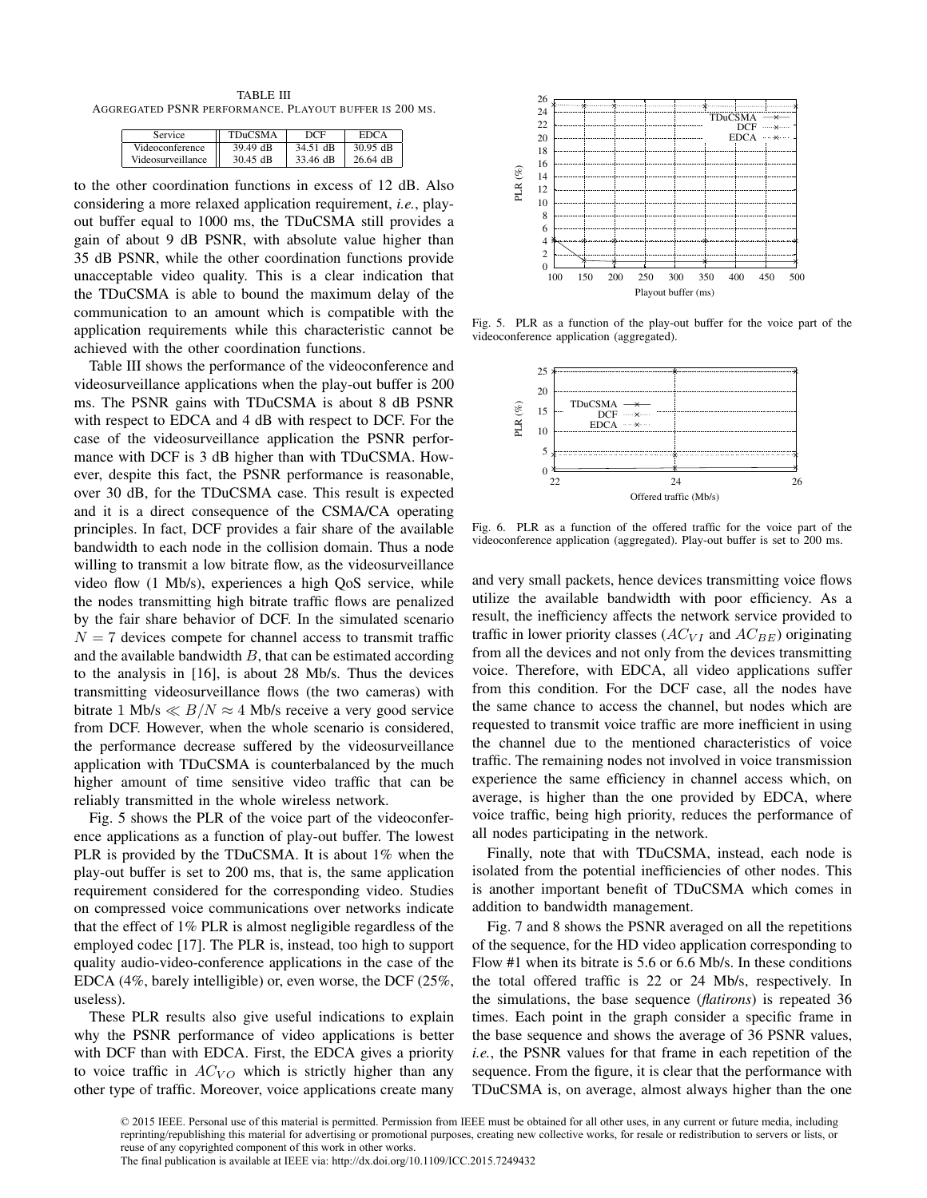TABLE III AGGREGATED PSNR PERFORMANCE. PLAYOUT BUFFER IS 200 MS.

| Service           | <b>TDuCSMA</b> | DCE      | <b>EDCA</b> |
|-------------------|----------------|----------|-------------|
| Videoconference   | 39.49 dB       | 34.51 dB | $30.95$ dB  |
| Videosurveillance | 30.45 dB       | 33.46 dB | $26.64$ dB  |

to the other coordination functions in excess of 12 dB. Also considering a more relaxed application requirement, *i.e.*, playout buffer equal to 1000 ms, the TDuCSMA still provides a gain of about 9 dB PSNR, with absolute value higher than 35 dB PSNR, while the other coordination functions provide unacceptable video quality. This is a clear indication that the TDuCSMA is able to bound the maximum delay of the communication to an amount which is compatible with the application requirements while this characteristic cannot be achieved with the other coordination functions.

Table III shows the performance of the videoconference and videosurveillance applications when the play-out buffer is 200 ms. The PSNR gains with TDuCSMA is about 8 dB PSNR with respect to EDCA and 4 dB with respect to DCF. For the case of the videosurveillance application the PSNR performance with DCF is 3 dB higher than with TDuCSMA. However, despite this fact, the PSNR performance is reasonable, over 30 dB, for the TDuCSMA case. This result is expected and it is a direct consequence of the CSMA/CA operating principles. In fact, DCF provides a fair share of the available bandwidth to each node in the collision domain. Thus a node willing to transmit a low bitrate flow, as the videosurveillance video flow (1 Mb/s), experiences a high QoS service, while the nodes transmitting high bitrate traffic flows are penalized by the fair share behavior of DCF. In the simulated scenario  $N = 7$  devices compete for channel access to transmit traffic and the available bandwidth  $B$ , that can be estimated according to the analysis in [16], is about 28 Mb/s. Thus the devices transmitting videosurveillance flows (the two cameras) with bitrate 1 Mb/s  $\ll B/N \approx 4$  Mb/s receive a very good service from DCF. However, when the whole scenario is considered, the performance decrease suffered by the videosurveillance application with TDuCSMA is counterbalanced by the much higher amount of time sensitive video traffic that can be reliably transmitted in the whole wireless network.

Fig. 5 shows the PLR of the voice part of the videoconference applications as a function of play-out buffer. The lowest PLR is provided by the TDuCSMA. It is about 1% when the play-out buffer is set to 200 ms, that is, the same application requirement considered for the corresponding video. Studies on compressed voice communications over networks indicate that the effect of 1% PLR is almost negligible regardless of the employed codec [17]. The PLR is, instead, too high to support quality audio-video-conference applications in the case of the EDCA (4%, barely intelligible) or, even worse, the DCF (25%, useless).

These PLR results also give useful indications to explain why the PSNR performance of video applications is better with DCF than with EDCA. First, the EDCA gives a priority to voice traffic in  $AC_{VO}$  which is strictly higher than any other type of traffic. Moreover, voice applications create many



Fig. 5. PLR as a function of the play-out buffer for the voice part of the videoconference application (aggregated).



Fig. 6. PLR as a function of the offered traffic for the voice part of the videoconference application (aggregated). Play-out buffer is set to 200 ms.

and very small packets, hence devices transmitting voice flows utilize the available bandwidth with poor efficiency. As a result, the inefficiency affects the network service provided to traffic in lower priority classes ( $AC_{VI}$  and  $AC_{BE}$ ) originating from all the devices and not only from the devices transmitting voice. Therefore, with EDCA, all video applications suffer from this condition. For the DCF case, all the nodes have the same chance to access the channel, but nodes which are requested to transmit voice traffic are more inefficient in using the channel due to the mentioned characteristics of voice traffic. The remaining nodes not involved in voice transmission experience the same efficiency in channel access which, on average, is higher than the one provided by EDCA, where voice traffic, being high priority, reduces the performance of all nodes participating in the network.

Finally, note that with TDuCSMA, instead, each node is isolated from the potential inefficiencies of other nodes. This is another important benefit of TDuCSMA which comes in addition to bandwidth management.

Fig. 7 and 8 shows the PSNR averaged on all the repetitions of the sequence, for the HD video application corresponding to Flow #1 when its bitrate is 5.6 or 6.6 Mb/s. In these conditions the total offered traffic is 22 or 24 Mb/s, respectively. In the simulations, the base sequence (*flatirons*) is repeated 36 times. Each point in the graph consider a specific frame in the base sequence and shows the average of 36 PSNR values, *i.e.*, the PSNR values for that frame in each repetition of the sequence. From the figure, it is clear that the performance with TDuCSMA is, on average, almost always higher than the one